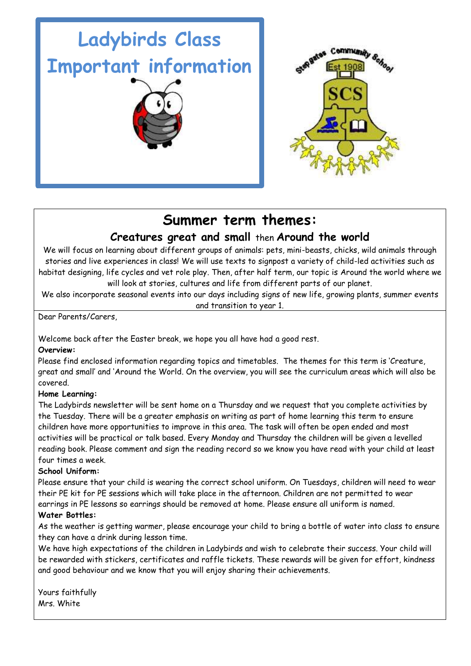



# **Summer term themes:**

## **Creatures great and small** then **Around the world**

We will focus on learning about different groups of animals: pets, mini-beasts, chicks, wild animals through stories and live experiences in class! We will use texts to signpost a variety of child-led activities such as habitat designing, life cycles and vet role play. Then, after half term, our topic is Around the world where we will look at stories, cultures and life from different parts of our planet.

We also incorporate seasonal events into our days including signs of new life, growing plants, summer events and transition to year 1.

Dear Parents/Carers,

Welcome back after the Easter break, we hope you all have had a good rest.

### **Overview:**

Please find enclosed information regarding topics and timetables. The themes for this term is 'Creature, great and small' and 'Around the World. On the overview, you will see the curriculum areas which will also be covered.

### **Home Learning:**

The Ladybirds newsletter will be sent home on a Thursday and we request that you complete activities by the Tuesday. There will be a greater emphasis on writing as part of home learning this term to ensure children have more opportunities to improve in this area. The task will often be open ended and most activities will be practical or talk based. Every Monday and Thursday the children will be given a levelled reading book. Please comment and sign the reading record so we know you have read with your child at least four times a week.

### **School Uniform:**

Please ensure that your child is wearing the correct school uniform. On Tuesdays, children will need to wear their PE kit for PE sessions which will take place in the afternoon. Children are not permitted to wear earrings in PE lessons so earrings should be removed at home. Please ensure all uniform is named. **Water Bottles:**

### As the weather is getting warmer, please encourage your child to bring a bottle of water into class to ensure they can have a drink during lesson time.

We have high expectations of the children in Ladybirds and wish to celebrate their success. Your child will be rewarded with stickers, certificates and raffle tickets. These rewards will be given for effort, kindness and good behaviour and we know that you will enjoy sharing their achievements.

Yours faithfully Mrs. White